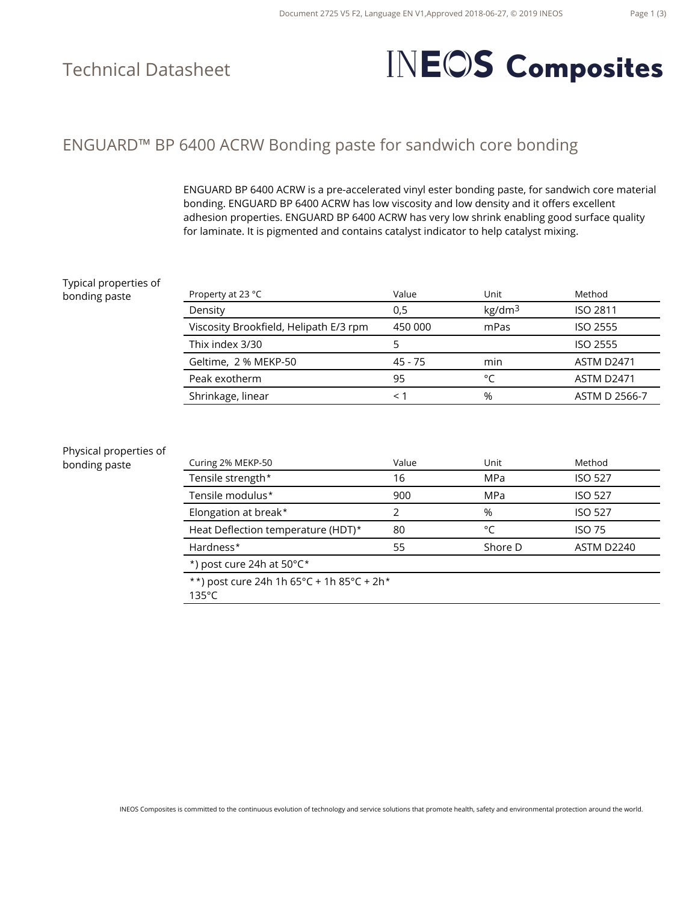### Technical Datasheet

# **INEOS Composites**

### ENGUARD™ BP 6400 ACRW Bonding paste for sandwich core bonding

ENGUARD BP 6400 ACRW is a pre-accelerated vinyl ester bonding paste, for sandwich core material bonding. ENGUARD BP 6400 ACRW has low viscosity and low density and it offers excellent adhesion properties. ENGUARD BP 6400 ACRW has very low shrink enabling good surface quality for laminate. It is pigmented and contains catalyst indicator to help catalyst mixing.

#### Typical properties of bonding paste

| Property at 23 °C                      | Value   | Unit               | Method            |
|----------------------------------------|---------|--------------------|-------------------|
| Density                                | 0,5     | kg/dm <sup>3</sup> | <b>ISO 2811</b>   |
| Viscosity Brookfield, Helipath E/3 rpm | 450 000 | mPas               | ISO 2555          |
| Thix index 3/30                        |         |                    | ISO 2555          |
| Geltime, 2 % MEKP-50                   | 45 - 75 | min                | <b>ASTM D2471</b> |
| Peak exotherm                          | 95      | ۰                  | <b>ASTM D2471</b> |
| Shrinkage, linear                      | <1      | %                  | ASTM D 2566-7     |

#### Physical properties of

bonding paste

| Curing 2% MEKP-50                    | Value | Unit    | Method            |
|--------------------------------------|-------|---------|-------------------|
| Tensile strength*                    | 16    | MPa     | <b>ISO 527</b>    |
| Tensile modulus*                     | 900   | MPa     | <b>ISO 527</b>    |
| Elongation at break*                 |       | %       | <b>ISO 527</b>    |
| Heat Deflection temperature (HDT)*   | 80    | °C      | <b>ISO 75</b>     |
| Hardness*                            | 55    | Shore D | <b>ASTM D2240</b> |
| *) post cure 24h at $50^{\circ}$ C * |       |         |                   |

\*\*) post cure 24h 1h 65°C + 1h 85°C + 2h\*

135°C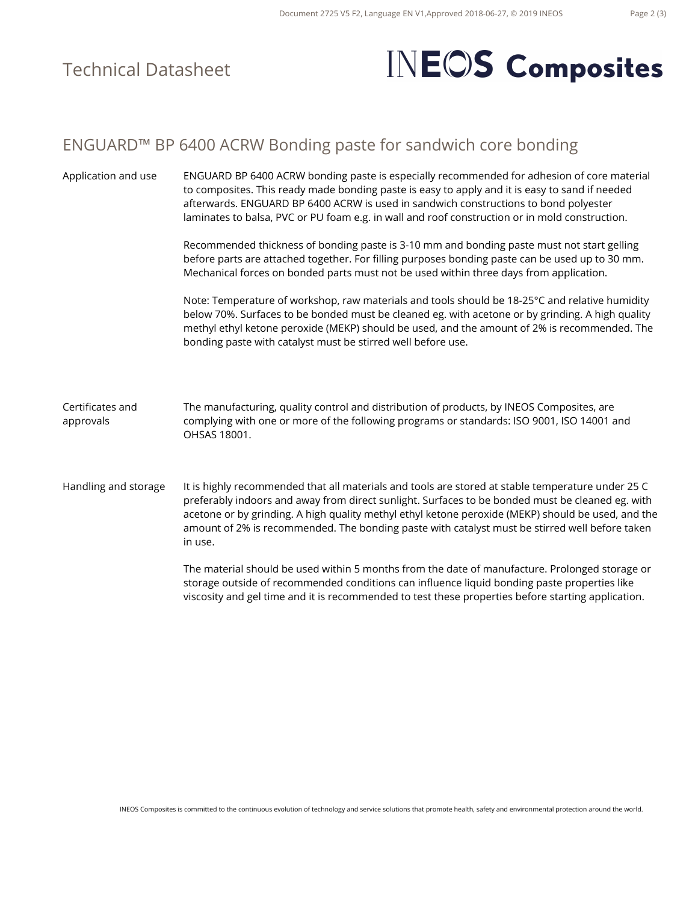### Technical Datasheet

## **INEOS** Composites

#### ENGUARD™ BP 6400 ACRW Bonding paste for sandwich core bonding

Application and use ENGUARD BP 6400 ACRW bonding paste is especially recommended for adhesion of core material to composites. This ready made bonding paste is easy to apply and it is easy to sand if needed afterwards. ENGUARD BP 6400 ACRW is used in sandwich constructions to bond polyester laminates to balsa, PVC or PU foam e.g. in wall and roof construction or in mold construction. Recommended thickness of bonding paste is 3-10 mm and bonding paste must not start gelling before parts are attached together. For filling purposes bonding paste can be used up to 30 mm. Mechanical forces on bonded parts must not be used within three days from application. Note: Temperature of workshop, raw materials and tools should be 18-25°C and relative humidity below 70%. Surfaces to be bonded must be cleaned eg. with acetone or by grinding. A high quality methyl ethyl ketone peroxide (MEKP) should be used, and the amount of 2% is recommended. The bonding paste with catalyst must be stirred well before use. Certificates and approvals The manufacturing, quality control and distribution of products, by INEOS Composites, are complying with one or more of the following programs or standards: ISO 9001, ISO 14001 and OHSAS 18001. Handling and storage It is highly recommended that all materials and tools are stored at stable temperature under 25 C preferably indoors and away from direct sunlight. Surfaces to be bonded must be cleaned eg. with acetone or by grinding. A high quality methyl ethyl ketone peroxide (MEKP) should be used, and the amount of 2% is recommended. The bonding paste with catalyst must be stirred well before taken in use. The material should be used within 5 months from the date of manufacture. Prolonged storage or storage outside of recommended conditions can influence liquid bonding paste properties like viscosity and gel time and it is recommended to test these properties before starting application.

INEOS Composites is committed to the continuous evolution of technology and service solutions that promote health, safety and environmental protection around the world.